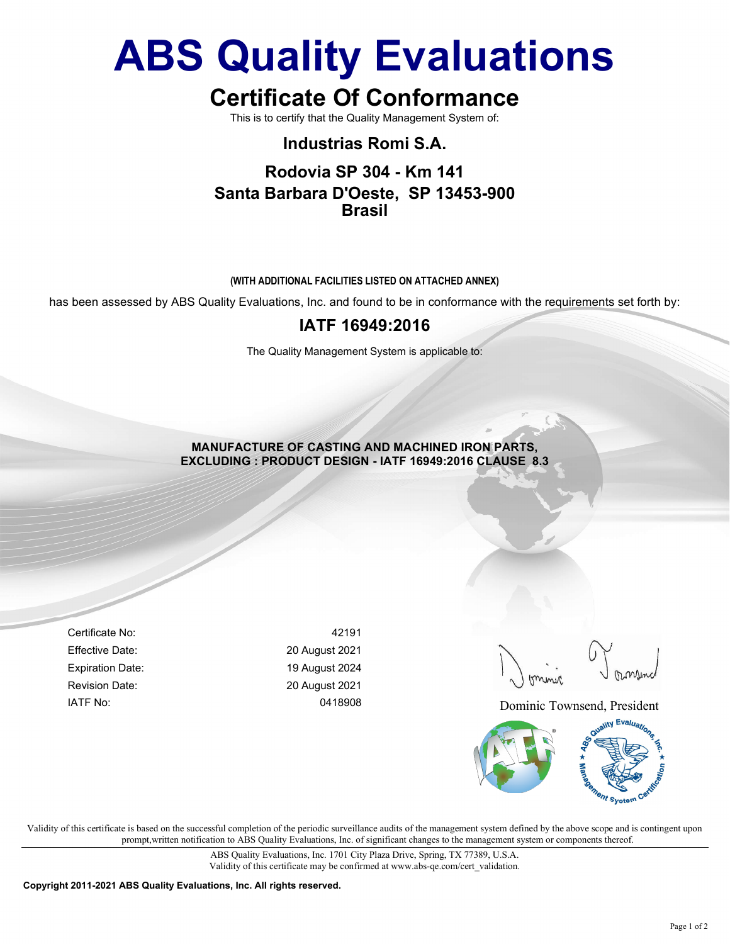# ABS Quality Evaluations

# Certificate Of Conformance

This is to certify that the Quality Management System of:

# Industrias Romi S.A.

### Rodovia SP 304 - Km 141 Santa Barbara D'Oeste, SP 13453-900 Brasil

#### (WITH ADDITIONAL FACILITIES LISTED ON ATTACHED ANNEX)

has been assessed by ABS Quality Evaluations, Inc. and found to be in conformance with the requirements set forth by:

### IATF 16949:2016

The Quality Management System is applicable to:

MANUFACTURE OF CASTING AND MACHINED IRON PARTS, EXCLUDING : PRODUCT DESIGN - IATF 16949:2016 CLAUSE 8.3

Certificate No: 42191 Effective Date: 20 August 2021 Expiration Date: 19 August 2024 Revision Date: 20 August 2021

IATF No: 0418908 0418908 Dominic Townsend, President



Validity of this certificate is based on the successful completion of the periodic surveillance audits of the management system defined by the above scope and is contingent upon prompt,written notification to ABS Quality Evaluations, Inc. of significant changes to the management system or components thereof.

> ABS Quality Evaluations, Inc. 1701 City Plaza Drive, Spring, TX 77389, U.S.A. Validity of this certificate may be confirmed at www.abs-qe.com/cert\_validation.

Copyright 2011-2021 ABS Quality Evaluations, Inc. All rights reserved.